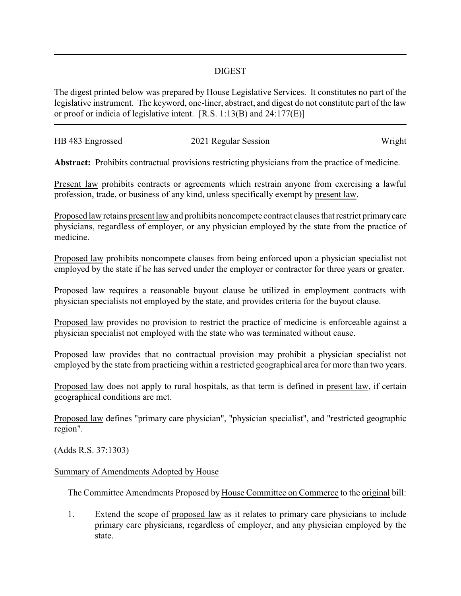## DIGEST

The digest printed below was prepared by House Legislative Services. It constitutes no part of the legislative instrument. The keyword, one-liner, abstract, and digest do not constitute part of the law or proof or indicia of legislative intent. [R.S. 1:13(B) and 24:177(E)]

| HB 483 Engrossed | 2021 Regular Session | Wright |
|------------------|----------------------|--------|
|                  |                      |        |

**Abstract:** Prohibits contractual provisions restricting physicians from the practice of medicine.

Present law prohibits contracts or agreements which restrain anyone from exercising a lawful profession, trade, or business of any kind, unless specifically exempt by present law.

Proposed law retains present law and prohibits noncompete contract clauses that restrict primarycare physicians, regardless of employer, or any physician employed by the state from the practice of medicine.

Proposed law prohibits noncompete clauses from being enforced upon a physician specialist not employed by the state if he has served under the employer or contractor for three years or greater.

Proposed law requires a reasonable buyout clause be utilized in employment contracts with physician specialists not employed by the state, and provides criteria for the buyout clause.

Proposed law provides no provision to restrict the practice of medicine is enforceable against a physician specialist not employed with the state who was terminated without cause.

Proposed law provides that no contractual provision may prohibit a physician specialist not employed by the state from practicing within a restricted geographical area for more than two years.

Proposed law does not apply to rural hospitals, as that term is defined in present law, if certain geographical conditions are met.

Proposed law defines "primary care physician", "physician specialist", and "restricted geographic region".

(Adds R.S. 37:1303)

## Summary of Amendments Adopted by House

The Committee Amendments Proposed by House Committee on Commerce to the original bill:

1. Extend the scope of proposed law as it relates to primary care physicians to include primary care physicians, regardless of employer, and any physician employed by the state.